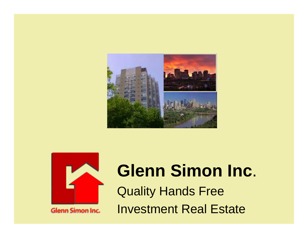



**Glenn Simon Inc.** 

## **Glenn Simon Inc** . Quality Hands Free Investment Real Estate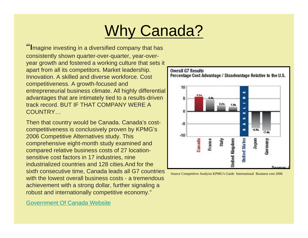## Why Canada?

"**I**magine investing in a diversified company that has consistently shown quarter-over-quarter, year-overyear growth and fostered a working culture that sets it apart from all its competitors. Market leadership. Innovation. A skilled and diverse workforce. Cost competitiveness. A growth-focused and entrepreneurial business climate. All highly differential advantages that are intimately tied to a results-driven track record. BUT IF THAT COMPANY WERE A COUNTRY…

Then that country would be Canada. Canada's costcompetitiveness is conclusively proven by KPMG's 2006 Competitive Alternatives study. This comprehensive eight-month study examined and compared relative business costs of 27 locationsensitive cost factors in 17 industries, nine industrialized countries and 128 cities.And for the sixth consecutive time, Canada leads all G7 countries with the lowest overall business costs - a tremendous achievement with a strong dollar, further signaling a robust and internationally competitive economy."





Source Competitive Analysis KPMG's Guide International Business cost 2006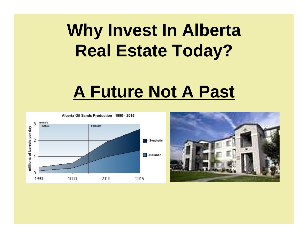# **Why Invest In Alberta Real Estate Today?**

# **A Future Not A Past**



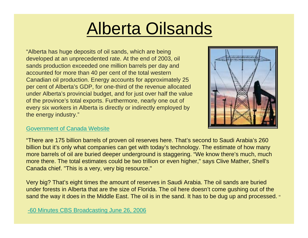# Alberta Oilsands

"Alberta has huge deposits of oil sands, which are being developed at an unprecedented rate. At the end of 2003, oil sands production exceeded one million barrels per day and accounted for more than 40 per cent of the total western Canadian oil production. Energy accounts for approximately 25 per cent of Alberta's GDP, for one-third of the revenue allocated under Alberta's provincial budget, and for just over half the value of the province's total exports. Furthermore, nearly one out of every six workers in Alberta is directly or indirectly employed by the energy industry."



### [Government of Canada Website](http://www.investincanada.gc.ca/director.aspx?tabid=954)

"There are 175 billion barrels of proven oil reserves here. That's second to Saudi Arabia's 260 billion but it's only what companies can get with today's technology. The estimate of how many more barrels of oil are buried deeper underground is staggering. "We know there's much, much more there. The total estimates could be two trillion or even higher," says Clive Mather, Shell's Canada chief. "This is a very, very big resource."

Very big? That's eight times the amount of reserves in Saudi Arabia. The oil sands are buried under forests in Alberta that are the size of Florida. The oil here doesn't come gushing out of the sand the way it does in the Middle East. The oil is in the sand. It has to be dug up and processed. "

[-60 Minutes CBS Broadcasting June 26, 2006](http://www.cbsnews.com/stories/2006/01/20/60minutes/main1225184.shtml)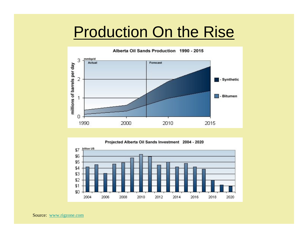## Production On the Rise



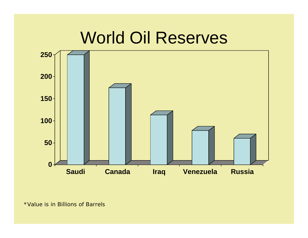## World Oil Reserves



<sup>\*</sup>Value is in Billions of Barrels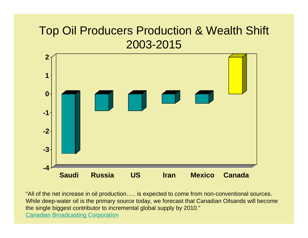## Top Oil Producers Production & Wealth Shift 2003-2015



"All of the net increase in oil production….. is expected to come from non-conventional sources. While deep-water oil is the primary source today, we forecast that Canadian Oilsands will become the single biggest contributor to incremental global supply by 2010." [Canadian Broadcasting Corporation](http://www.cbc.ca/story/canada/national/2006/01/11/canadian-oil060111.html)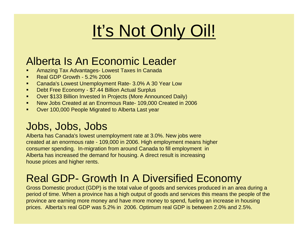# It's Not Only Oil!

## Alberta Is An Economic Leader

- Amazing Tax Advantages- Lowest Taxes In Canada
- $\blacksquare$ Real GDP Growth - 5.2% 2006
- $\blacksquare$ Canada's Lowest Unemployment Rate- 3.0% A 30 Year Low
- $\blacksquare$ Debt Free Economy - \$7.44 Billion Actual Surplus
- $\blacksquare$ Over \$133 Billion Invested In Projects (More Announced Daily)
- $\blacksquare$ New Jobs Created at an Enormous Rate- 109,000 Created in 2006
- $\blacksquare$ Over 100,000 People Migrated to Alberta Last year

## Jobs, Jobs, Jobs

Alberta has Canada's lowest unemployment rate at 3.0%. New jobs were created at an enormous rate - 109,000 in 2006. High employment means higher consumer spending. In-migration from around Canada to fill employment in Alberta has increased the demand for housing. A direct result is increasing house prices and higher rents.

## Real GDP- Growth In A Diversified Economy

Gross Domestic product (GDP) is the total value of goods and services produced in an area during a period of time. When a province has a high output of goods and services this means the people of the province are earning more money and have more money to spend, fueling an increase in housing prices. Alberta's real GDP was 5.2% in 2006. Optimum real GDP is between 2.0% and 2.5%.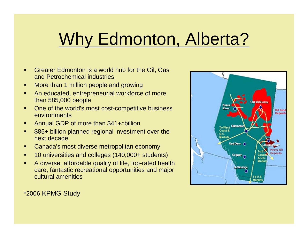# Why Edmonton, Alberta?

- Greater Edmonton is a world hub for the Oil, Gas and Petrochemical industries.
- More than 1 million people and growing
- ▙ An educated, entrepreneurial workforce of more than 585,000 people
- One of the world's most cost-competitive business environments
- ▙ ■ Annual GDP of more than \$41+<sup>*N*billion</sup>
- \$85+ billion planned regional investment over the next decade
- ٠ Canada's most diverse metropolitan economy
- 10 universities and colleges (140,000+ students)
- Г A diverse, affordable quality of life, top-rated health care, fantastic recreational opportunities and major cultural amenities



\*2006 KPMG Study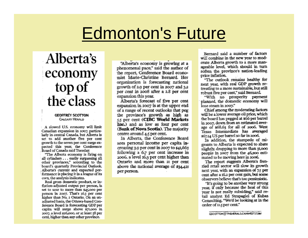# **Edmonton's Future**

## Alberta's economy top of the class

#### **GEOFFREY SCOTTON CALGARY HERALD**

A slowed U.S. economy will limit Canadian expansion in 2007, particularly in central Canada, but Alberta is set to add another five per cent growth to the seven per cent surge expected this year, the Conference Board of Canada said Tuesday.

"The Alberta economy is firing on all cylinders . . . easily surpassing all other provinces," according to the board's quarterly Provincial Outlook. Alberta's current and expected performance is placing it in a league of its own, the analysis indicates.

Real gross domestic product, or inflation-adjusted output per person, is set to soar to more than \$45,000 per person in 2007. That's 16.3 per cent higher than No. 2 Ontario. On an unadjusted basis, the Ottawa-based Conference Board is forecasting GDP per capita will surge above \$71,000 in 2007, a level \$26,000, or at least 58 per cent, higher than any other province.

"Alberta's economy is growing at a phenomenal pace," said the author of the report. Conference Board economist Marie-Christine Bernard. Her organization is forecasting national erowth of 2.0 per cent in 2007 and 3.2 per cent in 2008 after a 2.8 per cent expansion this year.

Alberta's forecast of five per cent expansion in 2007 is at the upper endof a range of recent outlooks that peg the province's growth as high as 5.5 per cent (CIBC World Markets Inc.) and as low as four per cent (Bank of Nova Scotia). The majority centre around 4.5 per cent.

In Alberta, the Conference Board sees personal income per capita increasing 3.9 per cent in 2007 to \$41,663 following a 6.7 per cent increase in 2006, a level 16,3 per cent higher than Ontario and more than 21 per cent above the national average of \$34,421 per person.

Bernard said a number of factors will combine in the new year to moderate Alberta growth to a more manageable level, which should in turn soften the province's nation-leading price inflation.

"The outlook remains healthy for next year, with real GDP growth retreating to a more sustainable, but still robust five per cent," said Bernard.

"With no prosperity payment planned, the domestic economy will lose steam in 2007."

Chief among the moderating factors will be a lower average oil price, which the board has pegged at \$66 per barrel in 2007, down from an estimated average of \$68.63 for all of 2006. West Texas Intermediate has averaged \$67.14 US per barrel so far in 2006.

In addition, the stampede of migrants to Alberta is expected to abate slightly, dropping to more than 21,000 people in 2007 from the 46,200 estimated to be moving here in 2006.

The report suggests Alberta's frenzied retail sector will slow its growth next year, with an expansion of 7.5 per cent after a 16.2 per cent gain, but some observers believe that's too pessimistic.

"It's going to be another very strong year, if only because the heat of this year is not really subsiding," said retail analyst Ed Strapagiel of Kubas Consulting. "We'd be looking at in the order of 12.5 per cent."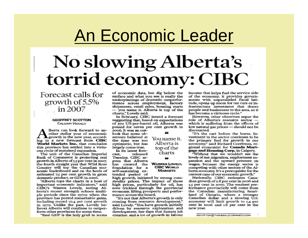## An Economic Leader

## No slowing Alberta's torrid economy: CIBC

Forecast calls for growth of 5.5%  $\ldots$  in 2007.

#### **GEOFFREY SCOTTON CALGARY HERALD**

lberta can look forward to another stellar year of economic Lerowth in the new year, according to a new forecast from CIBC World Markets Inc. that concludes this province has settled into a virtuous cycle of sustained expansion.

The unit of the Canadian Imperial Bank of Commerce is projecting real growth in Alberta of 5.5 per cent in 2007, the fourth straight year that Wild Rose Country will top the Canadian economic leaderboard and on the heels of estimated 75 per cent growth in gross domestic product, or GDP, in 2006.

"Alberta tops the charts in a host of important economic indicators," said CIBC's Warren Lovely, noting Alberta's recent strength echoes multiple periods since the 1970s when the province has posted remarkable gains, including record to 4 per cent growth in 1979. Unlike the past, Lovely believes Alberta will continue to outperform other provinces for some time.

"Real GDP is the holy grail in terms

of economic data, but dig below the surface and what you see is really the underpinnings of dramatic outperformance across employment, factory shipments, retail sales, housing starts -- you name it. Alberta is top of the charts," Lovely said.

In February, CIBC issued a forecast suggesting that, based on expectations of \$70 US-per-barrel oil, Alberta was poised for seven per cent growth in 2006. It was an out-

look that some observers believed at the time was too optimistic, but has largely come true.

In its latest forecast. released Tuesday, CIBC argues that Alberta has created the foundation for a self-sustaining extended period of

**WARREN LOVELY. CIBC WORLD** 

**MARKETS** 

You name it.

Alberta is

top of the

charts

high growth, initiated by strong commodity prices. The impact of those high prices, particularly for oil, has now trickled through the provincial economy, lifting prospects and performance across the board.

"It's not that Alberta's growth is only coming from resource development," said Lovely. "You have growth initially driven by resource exploration and development, but then that fosters job creation and a lot of growth in labour

income that helps fuel the service side of the economy, it provides governments with unparalleled fiscal latitude, opens up room for tax cuts or infrastructure investment that draws people and businesses to the area, so it has become a virtuous cycle."

However, other observers argue the role of Alberta's resource sector which is suffering from the effects of low natural gas prices - should not be discounted.

"It's the cart before the horse. Investment in the sector continues to be the primary fuel for growth in our economy," said Richard Corriveau, regional economist for Canada Mortgage and Housing Corp. in Calgary.

"Without that we wouldn't see the levels of net migration, employment expansion and the upward pressure on wages, because the energy sector is competing with other sectors of the Alberta economy. It's a prerequisite for the current case of our economic growth."

Nationally, CIBC estimates Canadian growth of 2.8 per cent in 2006 and 2.5 per cent in 2007. The weakest performance provincially will come from the Canadian manufacturing heartland of Ontario, where a stronger Canadian dollar and a slowing U.S. economy will limit growth to L4 per cent in 2006 and 1.8 per cent in the new year.

GSCOTTON@THEHERALD.CANWEST.COM

۰ı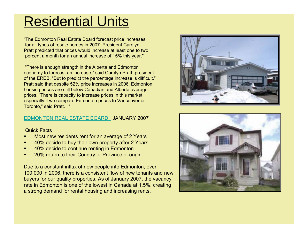## Residential Units

"The Edmonton Real Estate Board forecast price increases for all types of resale homes in 20 07. President Carolyn Pratt predicted that prices would increase at least one to two percent a month for an annual increase of 15% this year."

"There is enough strength in the Alberta and Edmonton economy to forecast an increase," said Carolyn Pratt, president of the EREB. "But to predict the percentage increase is difficult." Pratt said that despite 52% price increases in 2006, Edmonton housing prices are still below Canadian and Alberta average prices. "There is capacity to increase prices in this market especially if we compare Edmonton prices to Vancouver or Toronto," said Pratt. . "

### [EDMONTON REAL ESTATE BOARD](http://www.ereb.com/) JANUARY 2007

### Quick Facts

- г Most new residents rent for an average of 2 Years
- г 40% decide to buy their own property after 2 Years
- г 40% decide to continue renting in Edmonton
- г 20% return to their Country or Province of origin

Due to a constant influx of new people into Edmonton, over 100,000 in 2006, there is a consistent flow of new tenants and new buyers for our quality properties. As of January 2007, the vacancy rate in Edmonton is one of the lowest in Canada at 1.5%, creating a strong demand for rental housing and increasing rents.



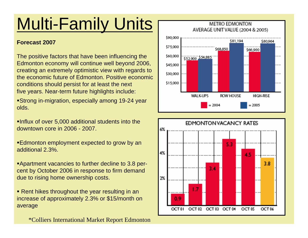# Multi-Family Units

### **Forecast 2007**

The positive factors that have been influencing the Edmonton economy will continue well beyond 2006, creating an extremely optimistic view with regards to the economic future of Edmonton. Positive economic conditions should persist for at least the next five years. Near-term future highlights include:

Strong in-migration, especially among 19-24 year olds.

Influx of over 5,000 additional students into the downtown core in 2006 - 2007.

**Edmonton employment expected to grow by an** additional 2.3%.

Apartment vacancies to further decline to 3.8 percent by October 2006 in response to firm demand due to rising home ownership costs.

■ Rent hikes throughout the year resulting in an increase of approximately 2.3% or \$15/month on average

\*Colliers International Market Report Edmonton



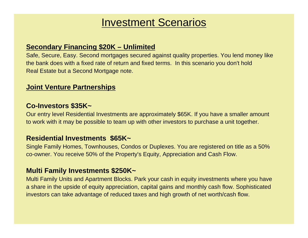## Investment Scenarios

## **Secondary Financing \$20K – Unlimited**

Safe, Secure, Easy. Second mortgages secured against quality properties. You lend money like the bank does with a fixed rate of return and fixed terms. In this scenario you don't hold Real Estate but a Second Mortgage note.

### **Joint Venture Partnerships**

### **Co-Investors \$35K~**

Our entry level Residential Investments are approximately \$65K. If you have a smaller amount to work with it may be possible to team up with other investors to purchase a unit together.

### **Residential Investments \$65K~**

Single Family Homes, Townhouses, Condos or Duplexes. You are registered on title as a 50% co-owner. You receive 50% of the Property's Equity, Appreciation and Cash Flow.

### **Multi Family Investments \$250K~**

Multi Family Units and Apartment Blocks. Park your cash in equity investments where you have a share in the upside of equity appreciation, capital gains and monthly cash flow. Sophisticated investors can take advantage of reduced taxes and high growth of net worth/cash flow.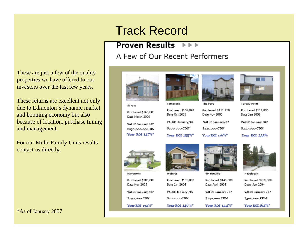## **Track Record**

#### **Proven Results NB**

A Few of Our Recent Performers



These returns are excellent not only due to Edmonton's dynamic market and booming economy but also because of location, purchase timing and management.

For our Multi-Family Units results contact us directly.

\*As of January 2007



Sakaw

Purchased \$165.000 Date March 2006

VALUE January /07 \$250,000.00 CDN Your ROI  $147\%$ \*



Tamarack Purchased \$106,848 Date Oct 2005 VALUE January/07 \$200,000 CDN Your ROI 155%\*



The Fort Purchased \$151.150 Date Nov 2005

VALUE January/07 \$225,000 CDN

Your ROI  $176\%$ \*



**Torbay Point** 

Purchased \$112,000 Date Jan 2006

VALUE January /07

\$220,000 CDN

Your ROI 235%



Hamptons

Purchased \$185,000 Date Nov 2005 VALUE January /07

\$290,000 CDN

Your ROI 132%\*



Weinlos

Purchased \$181,000 Date Jan 2006 VALUE January /07 \$280,000CDN Your ROI  $146\%$ \*



49 Youville

Purchased \$145,000 Date April 2006 VALUE January /07 \$240,000 CDN

Your ROI  $144\%$ \*



Hazeldean

Purchased \$218,000 Date Jan 2004 VALUE January / 07

\$300,000 CDN

Your ROI 164%\*

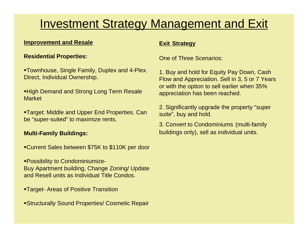## Investment Strategy Management and Exit

### **Improvement and Resale**

### **Residential Properties:**

Townhouse, Single Family, Duplex and 4-Plex. Direct, Individual Ownership.

**High Demand and Strong Long Term Resale** Market

Target: Middle and Upper End Properties. Can be "super-suited" to maximize rents.

### **Multi-Family Buildings:**

Current Sales between \$75K to \$110K per door

Possibility to Condominiumize-Buy Apartment building, Change Zoning/ Update and Resell units as Individual Title Condos.

- Target- Areas of Positive Transition
- Structurally Sound Properties/ Cosmetic Repair

### **Exit Strategy**

One of Three Scenarios:

1. Buy and hold for Equity Pay Down, Cash Flow and Appreciation. Sell in 3, 5 or 7 Years or with the option to sell earlier when 35% appreciation has been reached.

2. Significantly upgrade the property "super suite", buy and hold.

3. Convert to Condominiums (multi-family buildings only), sell as individual units.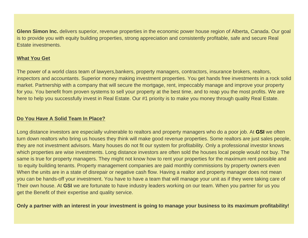**Glenn Simon Inc.** delivers superior, revenue properties in the economic power house region of Alberta, Canada. Our goal is to provide you with equity building properties, strong appreciation and consistently profitable, safe and secure Real Estate investments.

### **What You Get**

The power of a world class team of lawyers,bankers, property managers, contractors, insurance brokers, realtors, inspectors and accountants. Superior money making investment properties. You get hands free investments in a rock solid market. Partnership with a company that will secure the mortgage, rent, impeccably manage and improve your property for you. You benefit from proven systems to sell your property at the best time, and to reap you the most profits. We are here to help you successfully invest in Real Estate. Our #1 priority is to make you money through quality Real Estate.

### **Do You Have A Solid Team In Place?**

Long distance investors are especially vulnerable to realtors and property managers who do a poor job. At **GSI** we often turn down realtors who bring us houses they think will make good revenue properties. Some realtors are just sales people, they are not investment advisors. Many houses do not fit our system for profitability. Only a professional investor knows which properties are wise investments. Long distance investors are often sold the houses local people would not buy. The same is true for property managers. They might not know how to rent your properties for the maximum rent possible and to equity building tenants. Property management companies are paid monthly commissions by property owners even When the units are in a state of disrepair or negative cash flow. Having a realtor and property manager does not mean you can be hands-off your investment. You have to have a team that will manage your unit as if they were taking care of Their own house. At **GSI** we are fortunate to have industry leaders working on our team. When you partner for us you get the Benefit of their expertise and quality service.

### **Only a partner with an interest in your investment is going to manage your business to its maximum profitability!**